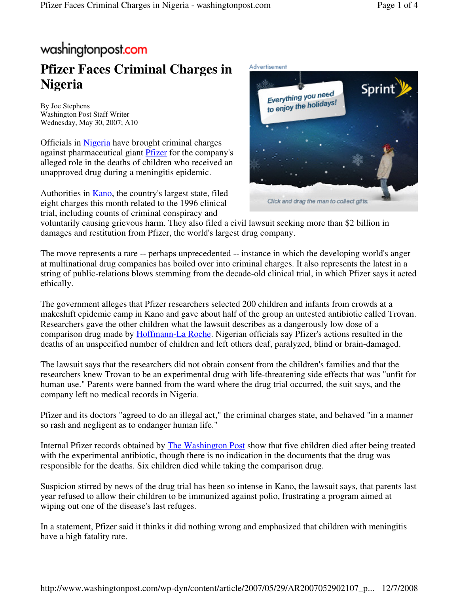## washingtonpost.com **Pfizer Faces Criminal Charges in Nigeria**

By Joe Stephens Washington Post Staff Writer Wednesday, May 30, 2007; A10

Officials in Nigeria have brought criminal charges against pharmaceutical giant Pfizer for the company's alleged role in the deaths of children who received an unapproved drug during a meningitis epidemic.

Authorities in Kano, the country's largest state, filed eight charges this month related to the 1996 clinical trial, including counts of criminal conspiracy and



voluntarily causing grievous harm. They also filed a civil lawsuit seeking more than \$2 billion in damages and restitution from Pfizer, the world's largest drug company.

The move represents a rare -- perhaps unprecedented -- instance in which the developing world's anger at multinational drug companies has boiled over into criminal charges. It also represents the latest in a string of public-relations blows stemming from the decade-old clinical trial, in which Pfizer says it acted ethically.

The government alleges that Pfizer researchers selected 200 children and infants from crowds at a makeshift epidemic camp in Kano and gave about half of the group an untested antibiotic called Trovan. Researchers gave the other children what the lawsuit describes as a dangerously low dose of a comparison drug made by Hoffmann-La Roche. Nigerian officials say Pfizer's actions resulted in the deaths of an unspecified number of children and left others deaf, paralyzed, blind or brain-damaged.

The lawsuit says that the researchers did not obtain consent from the children's families and that the researchers knew Trovan to be an experimental drug with life-threatening side effects that was "unfit for human use." Parents were banned from the ward where the drug trial occurred, the suit says, and the company left no medical records in Nigeria.

Pfizer and its doctors "agreed to do an illegal act," the criminal charges state, and behaved "in a manner so rash and negligent as to endanger human life."

Internal Pfizer records obtained by The Washington Post show that five children died after being treated with the experimental antibiotic, though there is no indication in the documents that the drug was responsible for the deaths. Six children died while taking the comparison drug.

Suspicion stirred by news of the drug trial has been so intense in Kano, the lawsuit says, that parents last year refused to allow their children to be immunized against polio, frustrating a program aimed at wiping out one of the disease's last refuges.

In a statement, Pfizer said it thinks it did nothing wrong and emphasized that children with meningitis have a high fatality rate.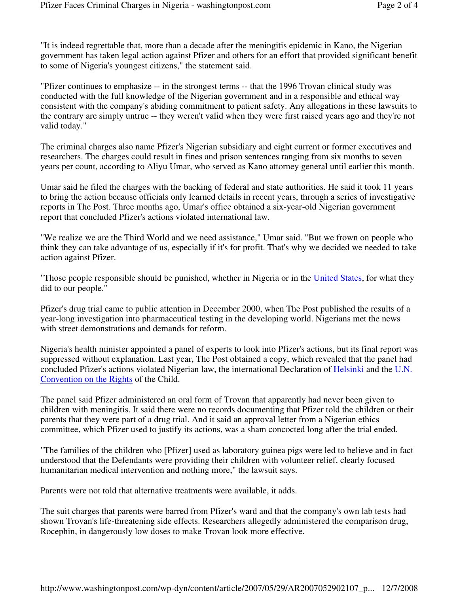"It is indeed regrettable that, more than a decade after the meningitis epidemic in Kano, the Nigerian government has taken legal action against Pfizer and others for an effort that provided significant benefit to some of Nigeria's youngest citizens," the statement said.

"Pfizer continues to emphasize -- in the strongest terms -- that the 1996 Trovan clinical study was conducted with the full knowledge of the Nigerian government and in a responsible and ethical way consistent with the company's abiding commitment to patient safety. Any allegations in these lawsuits to the contrary are simply untrue -- they weren't valid when they were first raised years ago and they're not valid today."

The criminal charges also name Pfizer's Nigerian subsidiary and eight current or former executives and researchers. The charges could result in fines and prison sentences ranging from six months to seven years per count, according to Aliyu Umar, who served as Kano attorney general until earlier this month.

Umar said he filed the charges with the backing of federal and state authorities. He said it took 11 years to bring the action because officials only learned details in recent years, through a series of investigative reports in The Post. Three months ago, Umar's office obtained a six-year-old Nigerian government report that concluded Pfizer's actions violated international law.

"We realize we are the Third World and we need assistance," Umar said. "But we frown on people who think they can take advantage of us, especially if it's for profit. That's why we decided we needed to take action against Pfizer.

"Those people responsible should be punished, whether in Nigeria or in the United States, for what they did to our people."

Pfizer's drug trial came to public attention in December 2000, when The Post published the results of a year-long investigation into pharmaceutical testing in the developing world. Nigerians met the news with street demonstrations and demands for reform.

Nigeria's health minister appointed a panel of experts to look into Pfizer's actions, but its final report was suppressed without explanation. Last year, The Post obtained a copy, which revealed that the panel had concluded Pfizer's actions violated Nigerian law, the international Declaration of Helsinki and the U.N. Convention on the Rights of the Child.

The panel said Pfizer administered an oral form of Trovan that apparently had never been given to children with meningitis. It said there were no records documenting that Pfizer told the children or their parents that they were part of a drug trial. And it said an approval letter from a Nigerian ethics committee, which Pfizer used to justify its actions, was a sham concocted long after the trial ended.

"The families of the children who [Pfizer] used as laboratory guinea pigs were led to believe and in fact understood that the Defendants were providing their children with volunteer relief, clearly focused humanitarian medical intervention and nothing more," the lawsuit says.

Parents were not told that alternative treatments were available, it adds.

The suit charges that parents were barred from Pfizer's ward and that the company's own lab tests had shown Trovan's life-threatening side effects. Researchers allegedly administered the comparison drug, Rocephin, in dangerously low doses to make Trovan look more effective.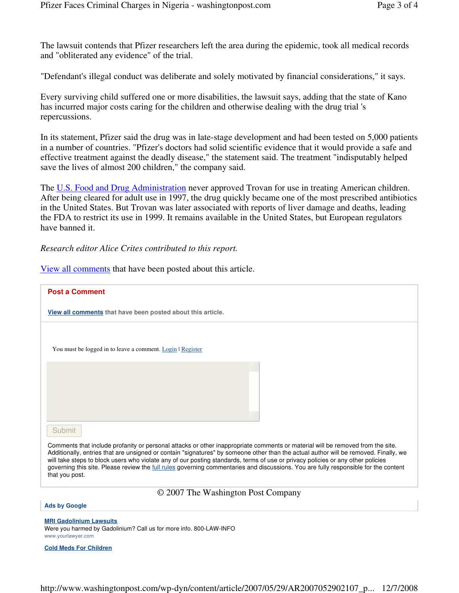The lawsuit contends that Pfizer researchers left the area during the epidemic, took all medical records and "obliterated any evidence" of the trial.

"Defendant's illegal conduct was deliberate and solely motivated by financial considerations," it says.

Every surviving child suffered one or more disabilities, the lawsuit says, adding that the state of Kano has incurred major costs caring for the children and otherwise dealing with the drug trial 's repercussions.

In its statement, Pfizer said the drug was in late-stage development and had been tested on 5,000 patients in a number of countries. "Pfizer's doctors had solid scientific evidence that it would provide a safe and effective treatment against the deadly disease," the statement said. The treatment "indisputably helped save the lives of almost 200 children," the company said.

The U.S. Food and Drug Administration never approved Trovan for use in treating American children. After being cleared for adult use in 1997, the drug quickly became one of the most prescribed antibiotics in the United States. But Trovan was later associated with reports of liver damage and deaths, leading the FDA to restrict its use in 1999. It remains available in the United States, but European regulators have banned it.

*Research editor Alice Crites contributed to this report.*

View all comments that have been posted about this article.

| <b>Post a Comment</b>                                                                                                                                                                                                                                                                                                                                                                                                                                                                                                                                                        |
|------------------------------------------------------------------------------------------------------------------------------------------------------------------------------------------------------------------------------------------------------------------------------------------------------------------------------------------------------------------------------------------------------------------------------------------------------------------------------------------------------------------------------------------------------------------------------|
| View all comments that have been posted about this article.                                                                                                                                                                                                                                                                                                                                                                                                                                                                                                                  |
|                                                                                                                                                                                                                                                                                                                                                                                                                                                                                                                                                                              |
| You must be logged in to leave a comment. Login   Register                                                                                                                                                                                                                                                                                                                                                                                                                                                                                                                   |
| Submit<br>Comments that include profanity or personal attacks or other inappropriate comments or material will be removed from the site.<br>Additionally, entries that are unsigned or contain "signatures" by someone other than the actual author will be removed. Finally, we<br>will take steps to block users who violate any of our posting standards, terms of use or privacy policies or any other policies<br>governing this site. Please review the full rules governing commentaries and discussions. You are fully responsible for the content<br>that you post. |
| © 2007 The Washington Post Company                                                                                                                                                                                                                                                                                                                                                                                                                                                                                                                                           |
| <b>Ads by Google</b>                                                                                                                                                                                                                                                                                                                                                                                                                                                                                                                                                         |
| <b>MRI Gadolinium Lawsuits</b><br>Were you harmed by Gadolinium? Call us for more info. 800-LAW-INFO<br>www.yourlawyer.com                                                                                                                                                                                                                                                                                                                                                                                                                                                   |
| <b>Cold Meds For Children</b>                                                                                                                                                                                                                                                                                                                                                                                                                                                                                                                                                |